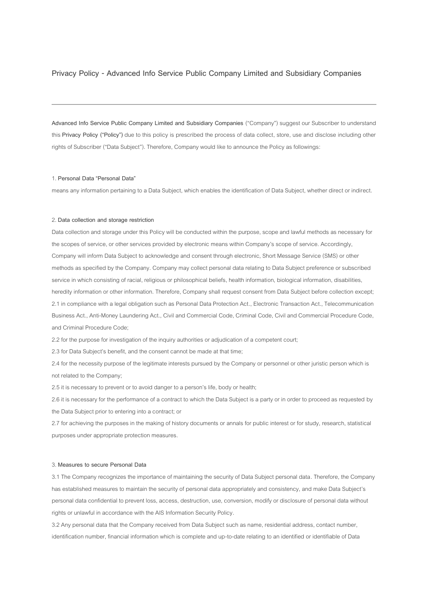# **Privacy Policy - Advanced Info Service Public Company Limited and Subsidiary Companies**

**Advanced Info Service Public Company Limited and Subsidiary Companies** ("Company") suggest our Subscriber to understand this **Privacy Policy ("Policy")** due to this policy is prescribed the process of data collect, store, use and disclose including other rights of Subscriber ("Data Subject"). Therefore, Company would like to announce the Policy as followings:

## 1. **Personal Data "Personal Data"**

means any information pertaining to a Data Subject, which enables the identification of Data Subject, whether direct or indirect.

### 2. **Data collection and storage restriction**

Data collection and storage under this Policy will be conducted within the purpose, scope and lawful methods as necessary for the scopes of service, or other services provided by electronic means within Company's scope of service. Accordingly, Company will inform Data Subject to acknowledge and consent through electronic, Short Message Service (SMS) or other methods as specified by the Company. Company may collect personal data relating to Data Subject preference or subscribed service in which consisting of racial, religious or philosophical beliefs, health information, biological information, disabilities, heredity information or other information. Therefore, Company shall request consent from Data Subject before collection except; 2.1 in compliance with a legal obligation such as Personal Data Protection Act., Electronic Transaction Act., Telecommunication Business Act., Anti-Money Laundering Act., Civil and Commercial Code, Criminal Code, Civil and Commercial Procedure Code, and Criminal Procedure Code;

2.2 for the purpose for investigation of the inquiry authorities or adjudication of a competent court;

2.3 for Data Subject's benefit, and the consent cannot be made at that time;

2.4 for the necessity purpose of the legitimate interests pursued by the Company or personnel or other juristic person which is not related to the Company;

2.5 it is necessary to prevent or to avoid danger to a person's life, body or health;

2.6 it is necessary for the performance of a contract to which the Data Subject is a party or in order to proceed as requested by the Data Subject prior to entering into a contract; or

2.7 for achieving the purposes in the making of history documents or annals for public interest or for study, research, statistical purposes under appropriate protection measures.

#### 3. **Measures to secure Personal Data**

3.1 The Company recognizes the importance of maintaining the security of Data Subject personal data. Therefore, the Company has established measures to maintain the security of personal data appropriately and consistency, and make Data Subject's personal data confidential to prevent loss, access, destruction, use, conversion, modify or disclosure of personal data without rights or unlawful in accordance with the AIS Information Security Policy.

3.2 Any personal data that the Company received from Data Subject such as name, residential address, contact number, identification number, financial information which is complete and up-to-date relating to an identified or identifiable of Data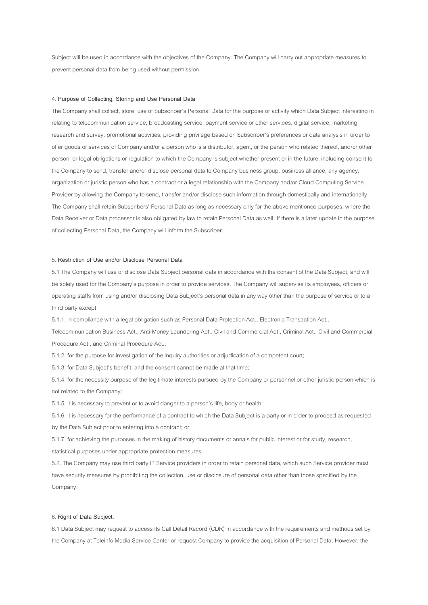Subject will be used in accordance with the objectives of the Company. The Company will carry out appropriate measures to prevent personal data from being used without permission.

### 4. **Purpose of Collecting, Storing and Use Personal Data**

The Company shall collect, store, use of Subscriber's Personal Data for the purpose or activity which Data Subject interesting in relating to telecommunication service, broadcasting service, payment service or other services, digital service, marketing research and survey, promotional activities, providing privilege based on Subscriber's preferences or data analysis in order to offer goods or services of Company and/or a person who is a distributor, agent, or the person who related thereof, and/or other person, or legal obligations or regulation to which the Company is subject whether present or in the future, including consent to the Company to send, transfer and/or disclose personal data to Company business group, business alliance, any agency, organization or juristic person who has a contract or a legal relationship with the Company and/or Cloud Computing Service Provider by allowing the Company to send, transfer and/or disclose such information through domestically and internationally. The Company shall retain Subscribers' Personal Data as long as necessary only for the above mentioned purposes, where the Data Receiver or Data processor is also obligated by law to retain Personal Data as well. If there is a later update in the purpose of collecting Personal Data, the Company will inform the Subscriber.

#### 5. **Restriction of Use and/or Disclose Personal Data**

5.1 The Company will use or disclose Data Subject personal data in accordance with the consent of the Data Subject, and will be solely used for the Company's purpose in order to provide services. The Company will supervise its employees, officers or operating staffs from using and/or disclosing Data Subject's personal data in any way other than the purpose of service or to a third party except:

5.1.1. in compliance with a legal obligation such as Personal Data Protection Act., Electronic Transaction Act.,

Telecommunication Business Act., Anti-Money Laundering Act., Civil and Commercial Act., Criminal Act., Civil and Commercial Procedure Act., and Criminal Procedure Act.;

5.1.2. for the purpose for investigation of the inquiry authorities or adjudication of a competent court;

5.1.3. for Data Subject's benefit, and the consent cannot be made at that time;

5.1.4. for the necessity purpose of the legitimate interests pursued by the Company or personnel or other juristic person which is not related to the Company;

5.1.5. it is necessary to prevent or to avoid danger to a person's life, body or health;

5.1.6. it is necessary for the performance of a contract to which the Data Subject is a party or in order to proceed as requested by the Data Subject prior to entering into a contract; or

5.1.7. for achieving the purposes in the making of history documents or annals for public interest or for study, research,

statistical purposes under appropriate protection measures.

5.2. The Company may use third party IT Service providers in order to retain personal data, which such Service provider must have security measures by prohibiting the collection, use or disclosure of personal data other than those specified by the Company.

## 6. **Right of Data Subject.**

6.1 Data Subject may request to access its Call Detail Record (CDR) in accordance with the requirements and methods set by the Company at Teleinfo Media Service Center or request Company to provide the acquisition of Personal Data. However, the